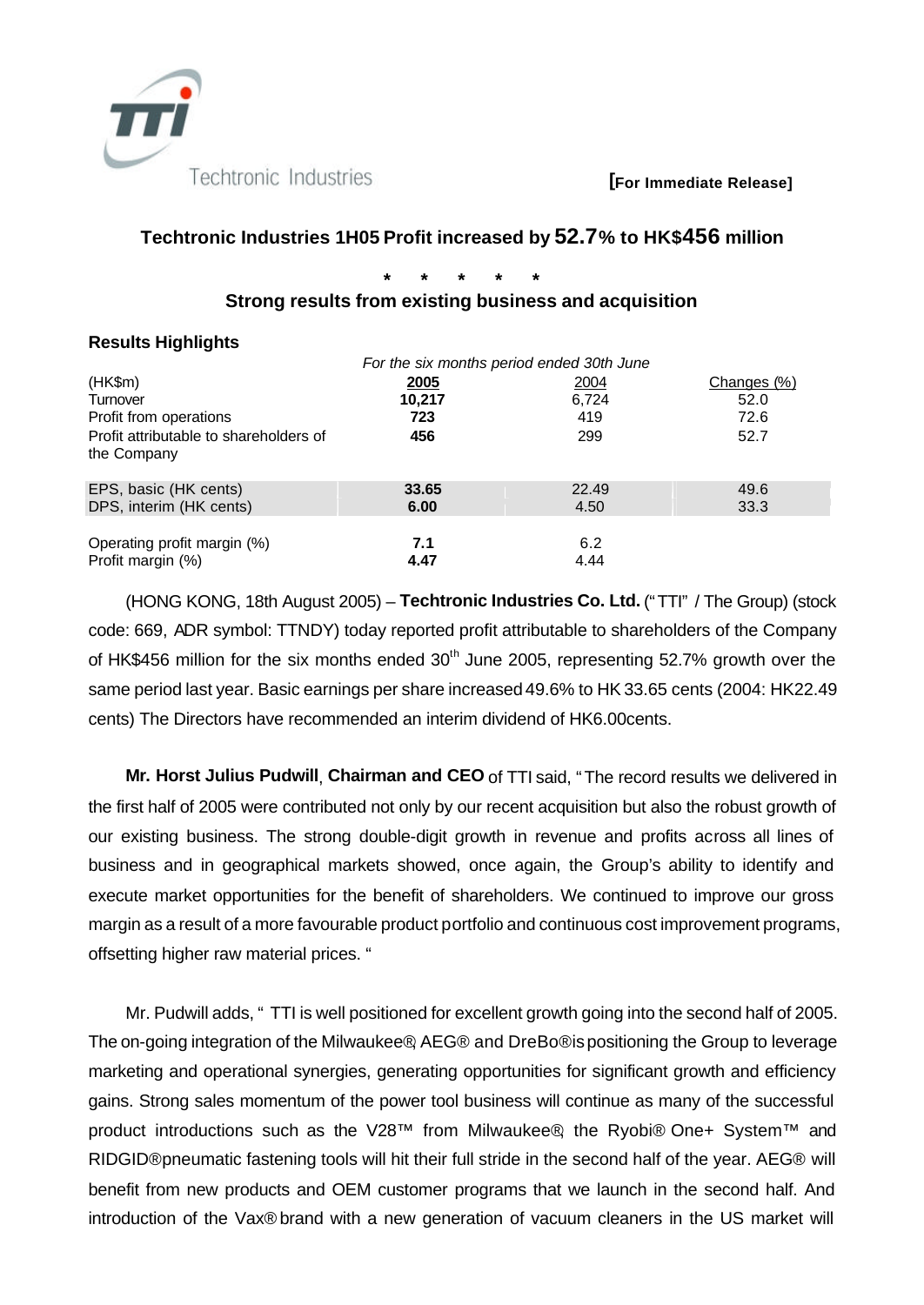

### **[For Immediate Release]**

## **Techtronic Industries 1H05 Profit increased by 52.7% to HK\$456 million**

**\* \* \* \* \***

## **Strong results from existing business and acquisition**

## **Results Highlights**

|                                                       | For the six months period ended 30th June |               |              |  |
|-------------------------------------------------------|-------------------------------------------|---------------|--------------|--|
| (HK\$m)                                               | <u> 2005</u>                              | <u> 2004</u>  | Changes (%)  |  |
| Turnover                                              | 10.217                                    | 6.724         | 52.0         |  |
| Profit from operations                                | 723                                       | 419           | 72.6         |  |
| Profit attributable to shareholders of<br>the Company | 456                                       | 299           | 52.7         |  |
| EPS, basic (HK cents)<br>DPS, interim (HK cents)      | 33.65<br>6.00                             | 22.49<br>4.50 | 49.6<br>33.3 |  |
| Operating profit margin (%)<br>Profit margin (%)      | 7.1<br>4.47                               | 6.2<br>4.44   |              |  |

(HONG KONG, 18th August 2005) – **Techtronic Industries Co. Ltd.** ("TTI" / The Group) (stock code: 669, ADR symbol: TTNDY) today reported profit attributable to shareholders of the Company of HK\$456 million for the six months ended 30<sup>th</sup> June 2005, representing 52.7% growth over the same period last year. Basic earnings per share increased 49.6% to HK 33.65 cents (2004: HK22.49 cents) The Directors have recommended an interim dividend of HK6.00cents.

**Mr. Horst Julius Pudwill**, **Chairman and CEO** of TTI said, "The record results we delivered in the first half of 2005 were contributed not only by our recent acquisition but also the robust growth of our existing business. The strong double-digit growth in revenue and profits across all lines of business and in geographical markets showed, once again, the Group's ability to identify and execute market opportunities for the benefit of shareholders. We continued to improve our gross margin as a result of a more favourable product portfolio and continuous cost improvement programs, offsetting higher raw material prices. "

Mr. Pudwill adds, " TTI is well positioned for excellent growth going into the second half of 2005. The on-going integration of the Milwaukee®, AEG® and DreBo® is positioning the Group to leverage marketing and operational synergies, generating opportunities for significant growth and efficiency gains. Strong sales momentum of the power tool business will continue as many of the successful product introductions such as the V28™ from Milwaukee®, the Ryobi® One+ System™ and RIDGID® pneumatic fastening tools will hit their full stride in the second half of the year. AEG® will benefit from new products and OEM customer programs that we launch in the second half. And introduction of the Vax® brand with a new generation of vacuum cleaners in the US market will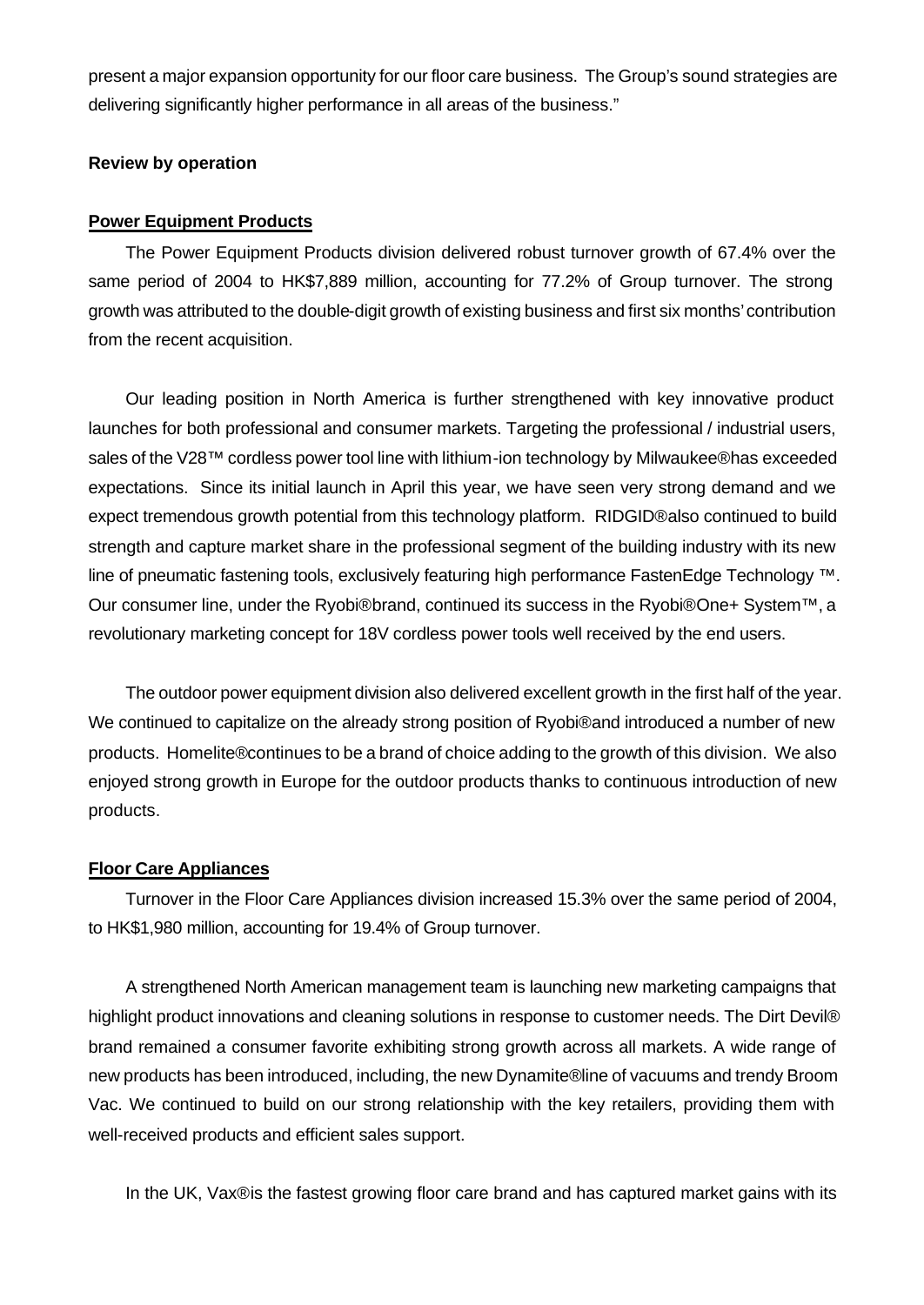present a major expansion opportunity for our floor care business. The Group's sound strategies are delivering significantly higher performance in all areas of the business."

## **Review by operation**

## **Power Equipment Products**

The Power Equipment Products division delivered robust turnover growth of 67.4% over the same period of 2004 to HK\$7,889 million, accounting for 77.2% of Group turnover. The strong growth was attributed to the double-digit growth of existing business and first six months' contribution from the recent acquisition.

Our leading position in North America is further strengthened with key innovative product launches for both professional and consumer markets. Targeting the professional / industrial users, sales of the V28™ cordless power tool line with lithium-ion technology by Milwaukee® has exceeded expectations. Since its initial launch in April this year, we have seen very strong demand and we expect tremendous growth potential from this technology platform. RIDGID® also continued to build strength and capture market share in the professional segment of the building industry with its new line of pneumatic fastening tools, exclusively featuring high performance FastenEdge Technology ™ . Our consumer line, under the Ryobi® brand, continued its success in the Ryobi® One+ System<sup>™</sup>, a revolutionary marketing concept for 18V cordless power tools well received by the end users.

The outdoor power equipment division also delivered excellent growth in the first half of the year. We continued to capitalize on the already strong position of Ryobi® and introduced a number of new products. Homelite® continues to be a brand of choice adding to the growth of this division. We also enjoyed strong growth in Europe for the outdoor products thanks to continuous introduction of new products.

## **Floor Care Appliances**

Turnover in the Floor Care Appliances division increased 15.3% over the same period of 2004, to HK\$1,980 million, accounting for 19.4% of Group turnover.

A strengthened North American management team is launching new marketing campaigns that highlight product innovations and cleaning solutions in response to customer needs. The Dirt Devil® brand remained a consumer favorite exhibiting strong growth across all markets. A wide range of new products has been introduced, including, the new Dynamite® line of vacuums and trendy Broom Vac. We continued to build on our strong relationship with the key retailers, providing them with well-received products and efficient sales support.

In the UK, Vax® is the fastest growing floor care brand and has captured market gains with its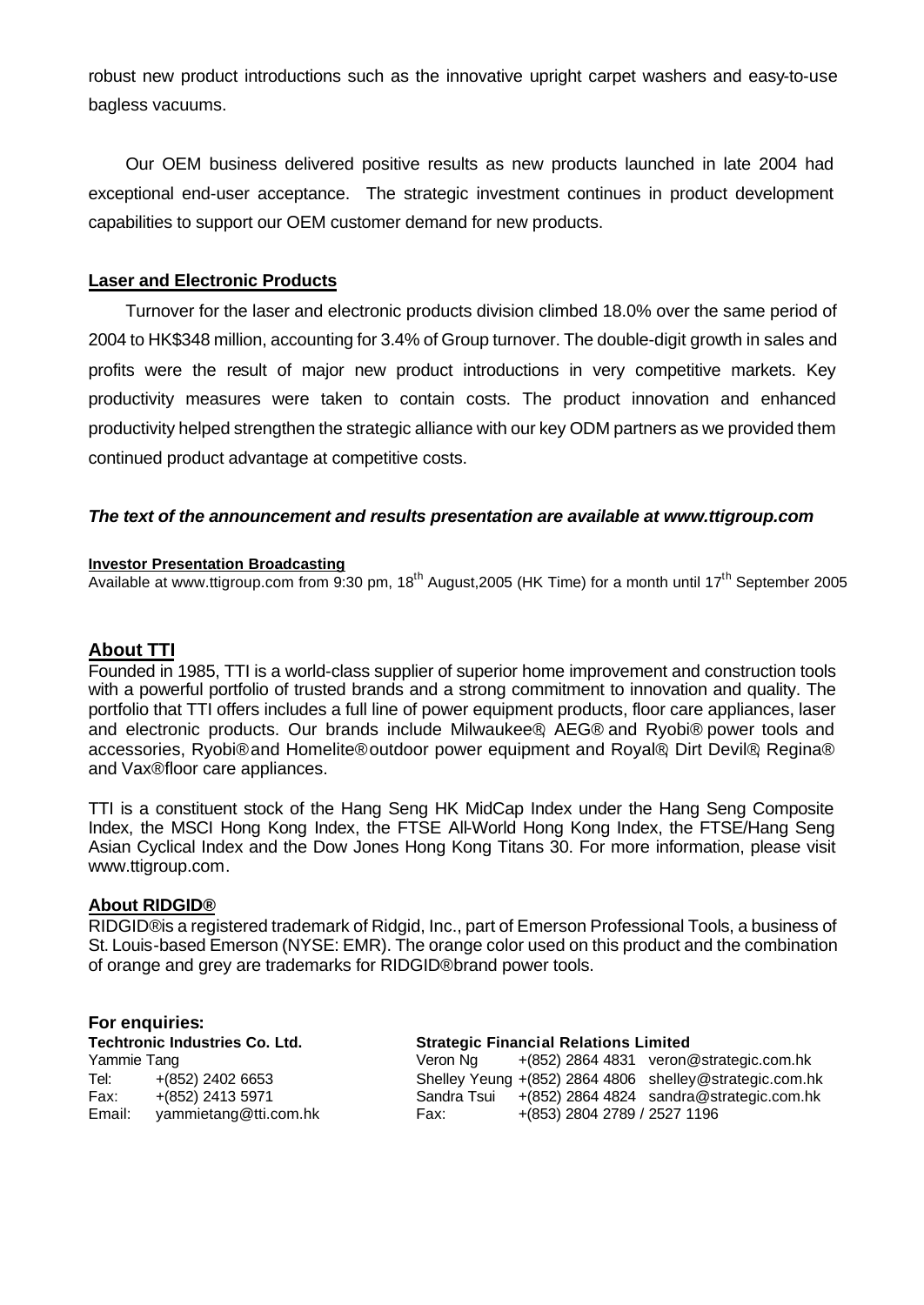robust new product introductions such as the innovative upright carpet washers and easy-to-use bagless vacuums.

Our OEM business delivered positive results as new products launched in late 2004 had exceptional end-user acceptance. The strategic investment continues in product development capabilities to support our OEM customer demand for new products.

## **Laser and Electronic Products**

Turnover for the laser and electronic products division climbed 18.0% over the same period of 2004 to HK\$348 million, accounting for 3.4% of Group turnover. The double-digit growth in sales and profits were the result of major new product introductions in very competitive markets. Key productivity measures were taken to contain costs. The product innovation and enhanced productivity helped strengthen the strategic alliance with our key ODM partners as we provided them continued product advantage at competitive costs.

### *The text of the announcement and results presentation are available at www.ttigroup.com*

#### **Investor Presentation Broadcasting**

Available at www.ttigroup.com from 9:30 pm, 18<sup>th</sup> August,2005 (HK Time) for a month until 17<sup>th</sup> September 2005

## **About TTI**

Founded in 1985, TTI is a world-class supplier of superior home improvement and construction tools with a powerful portfolio of trusted brands and a strong commitment to innovation and quality. The portfolio that TTI offers includes a full line of power equipment products, floor care appliances, laser and electronic products. Our brands include Milwaukee® AEG® and Ryobi® power tools and accessories, Ryobi® and Homelite® outdoor power equipment and Royal®, Dirt Devil®, Regina® and Vax® floor care appliances.

TTI is a constituent stock of the Hang Seng HK MidCap Index under the Hang Seng Composite Index, the MSCI Hong Kong Index, the FTSE All-World Hong Kong Index, the FTSE/Hang Seng Asian Cyclical Index and the Dow Jones Hong Kong Titans 30. For more information, please visit www.ttigroup.com.

#### **About RIDGID®**

RIDGID® is a registered trademark of Ridgid, Inc., part of Emerson Professional Tools, a business of St. Louis-based Emerson (NYSE: EMR). The orange color used on this product and the combination of orange and grey are trademarks for RIDGID® brand power tools.

#### **For enquiries:**

Yammie Tang Tel:  $+(852)$  2402 6653  $Fax: + (852) 2413 5971$ Email: yammietang@tti.com.hk

#### **Techtronic Industries Co. Ltd. Strategic Financial Relations Limited**

| Veron Na    |                              | +(852) 2864 4831 veron@strategic.com.hk                 |
|-------------|------------------------------|---------------------------------------------------------|
|             |                              | Shelley Yeung +(852) 2864 4806 shelley@strategic.com.hk |
| Sandra Tsui |                              | $+(852)$ 2864 4824 sandra@strategic.com.hk              |
| Fax:        | +(853) 2804 2789 / 2527 1196 |                                                         |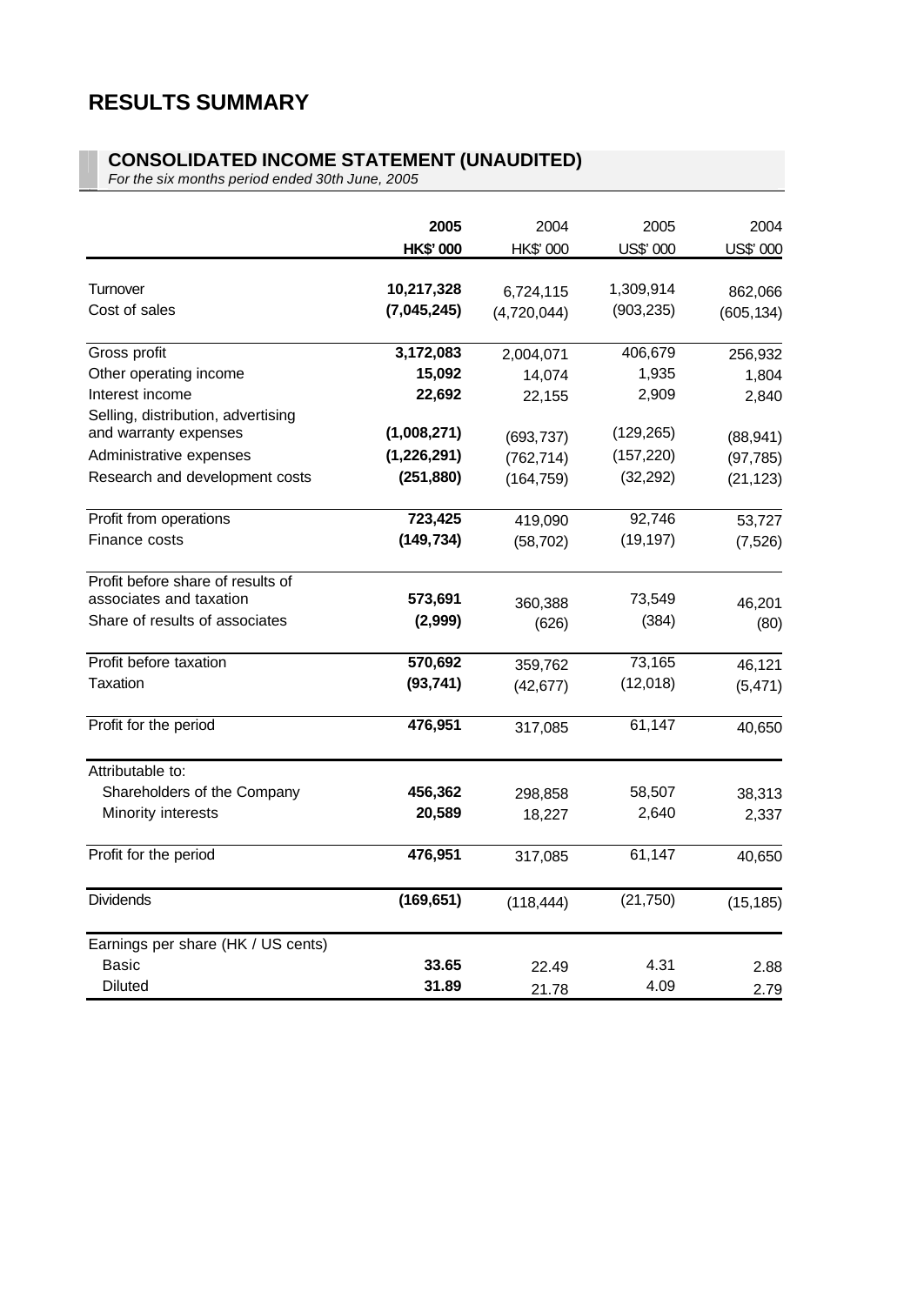# **RESULTS SUMMARY**

#### **CONSOLIDATED INCOME STATEMENT (UNAUDITED)**

*For the six months period ended 30th June, 2005*

|                                    | 2005            | 2004        | 2005       | 2004       |
|------------------------------------|-----------------|-------------|------------|------------|
|                                    | <b>HK\$'000</b> | HK\$' 000   | US\$' 000  | US\$' 000  |
|                                    |                 |             |            |            |
| Turnover                           | 10,217,328      | 6,724,115   | 1,309,914  | 862,066    |
| Cost of sales                      | (7,045,245)     | (4,720,044) | (903, 235) | (605, 134) |
| Gross profit                       | 3,172,083       | 2,004,071   | 406,679    | 256,932    |
| Other operating income             | 15,092          | 14,074      | 1,935      | 1,804      |
| Interest income                    | 22,692          | 22,155      | 2,909      | 2,840      |
| Selling, distribution, advertising |                 |             |            |            |
| and warranty expenses              | (1,008,271)     | (693, 737)  | (129, 265) | (88, 941)  |
| Administrative expenses            | (1,226,291)     | (762, 714)  | (157, 220) | (97, 785)  |
| Research and development costs     | (251, 880)      | (164, 759)  | (32, 292)  | (21, 123)  |
| Profit from operations             | 723,425         | 419,090     | 92,746     | 53,727     |
| Finance costs                      | (149, 734)      | (58, 702)   | (19, 197)  | (7, 526)   |
| Profit before share of results of  |                 |             |            |            |
| associates and taxation            | 573,691         | 360,388     | 73,549     | 46,201     |
| Share of results of associates     | (2,999)         | (626)       | (384)      | (80)       |
| Profit before taxation             | 570,692         | 359,762     | 73,165     | 46,121     |
| <b>Taxation</b>                    | (93, 741)       | (42, 677)   | (12,018)   | (5, 471)   |
| Profit for the period              | 476,951         | 317,085     | 61,147     | 40,650     |
| Attributable to:                   |                 |             |            |            |
| Shareholders of the Company        | 456,362         | 298,858     | 58,507     | 38,313     |
| Minority interests                 | 20,589          | 18,227      | 2,640      | 2,337      |
| Profit for the period              | 476,951         | 317,085     | 61,147     | 40,650     |
| <b>Dividends</b>                   | (169, 651)      | (118, 444)  | (21, 750)  | (15, 185)  |
| Earnings per share (HK / US cents) |                 |             |            |            |
| <b>Basic</b>                       | 33.65           | 22.49       | 4.31       | 2.88       |
| <b>Diluted</b>                     | 31.89           | 21.78       | 4.09       | 2.79       |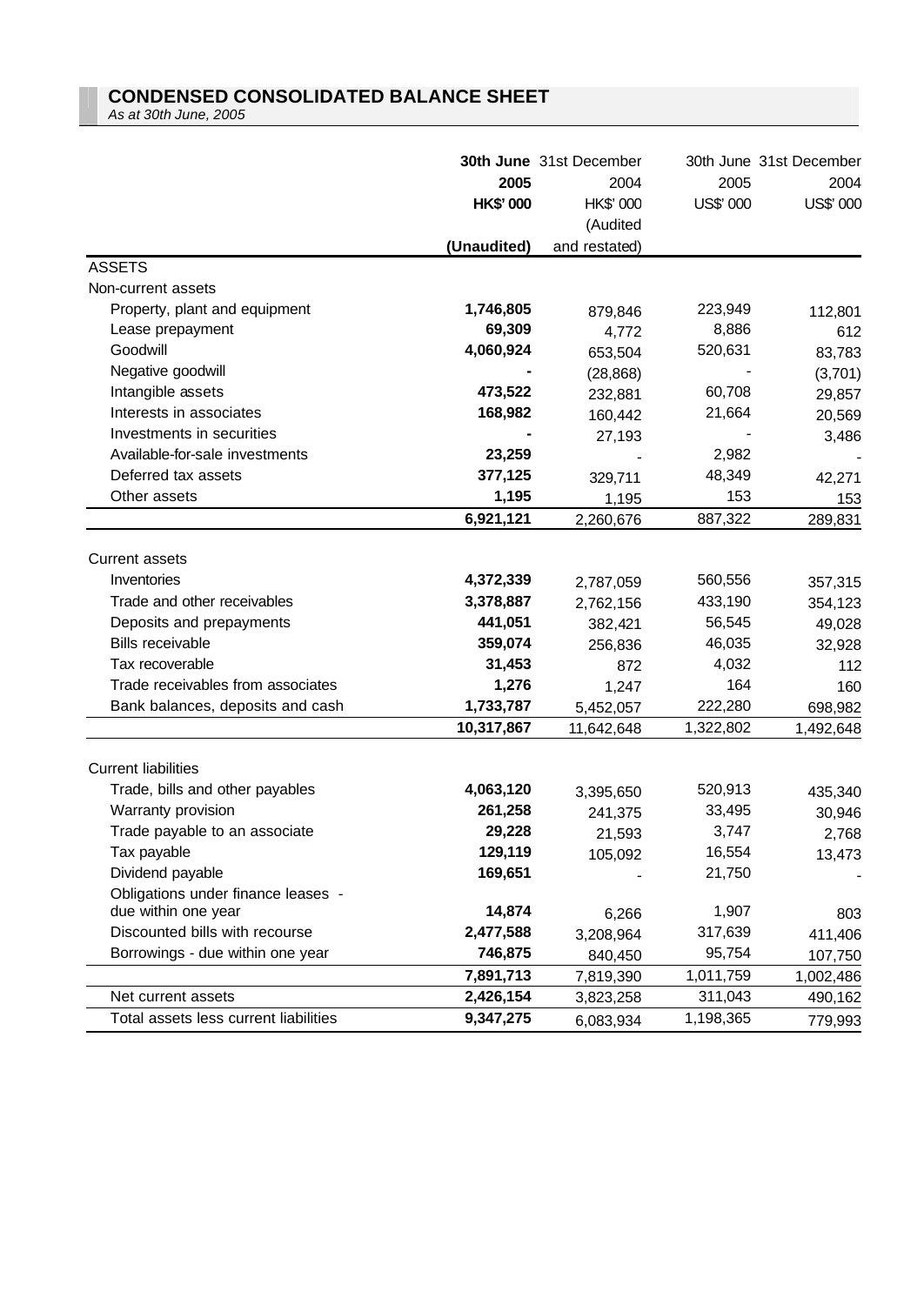## **CONDENSED CONSOLIDATED BALANCE SHEET**

*As at 30th June, 2005*

|                                       | 2005            | <b>30th June</b> 31st December | 2005      | 30th June 31st December<br>2004 |
|---------------------------------------|-----------------|--------------------------------|-----------|---------------------------------|
|                                       |                 | 2004                           |           |                                 |
|                                       | <b>HK\$'000</b> | HK\$' 000                      | US\$' 000 | US\$' 000                       |
|                                       |                 | (Audited                       |           |                                 |
|                                       | (Unaudited)     | and restated)                  |           |                                 |
| <b>ASSETS</b>                         |                 |                                |           |                                 |
| Non-current assets                    |                 |                                |           |                                 |
| Property, plant and equipment         | 1,746,805       | 879,846                        | 223,949   | 112,801                         |
| Lease prepayment                      | 69,309          | 4,772                          | 8,886     | 612                             |
| Goodwill                              | 4,060,924       | 653,504                        | 520,631   | 83,783                          |
| Negative goodwill                     |                 | (28, 868)                      |           | (3,701)                         |
| Intangible assets                     | 473,522         | 232,881                        | 60,708    | 29,857                          |
| Interests in associates               | 168,982         | 160,442                        | 21,664    | 20,569                          |
| Investments in securities             |                 | 27,193                         |           | 3,486                           |
| Available-for-sale investments        | 23,259          |                                | 2,982     |                                 |
| Deferred tax assets                   | 377,125         | 329,711                        | 48,349    | 42,271                          |
| Other assets                          | 1,195           | 1,195                          | 153       | 153                             |
|                                       | 6,921,121       | 2,260,676                      | 887,322   | 289,831                         |
| <b>Current assets</b>                 |                 |                                |           |                                 |
| Inventories                           | 4,372,339       | 2,787,059                      | 560,556   | 357,315                         |
| Trade and other receivables           | 3,378,887       | 2,762,156                      | 433,190   |                                 |
| Deposits and prepayments              | 441,051         |                                | 56,545    | 354,123                         |
| <b>Bills receivable</b>               | 359,074         | 382,421                        | 46,035    | 49,028                          |
| Tax recoverable                       | 31,453          | 256,836                        | 4,032     | 32,928                          |
| Trade receivables from associates     | 1,276           | 872                            | 164       | 112                             |
|                                       |                 | 1,247                          |           | 160                             |
| Bank balances, deposits and cash      | 1,733,787       | 5,452,057                      | 222,280   | 698,982                         |
|                                       | 10,317,867      | 11,642,648                     | 1,322,802 | 1,492,648                       |
| <b>Current liabilities</b>            |                 |                                |           |                                 |
| Trade, bills and other payables       | 4,063,120       | 3,395,650                      | 520,913   | 435,340                         |
| Warranty provision                    | 261,258         | 241,375                        | 33,495    | 30,946                          |
| Trade payable to an associate         | 29,228          | 21,593                         | 3,747     | 2,768                           |
| Tax payable                           | 129,119         | 105,092                        | 16,554    | 13,473                          |
| Dividend payable                      | 169,651         |                                | 21,750    |                                 |
| Obligations under finance leases -    |                 |                                |           |                                 |
| due within one year                   | 14,874          | 6,266                          | 1,907     | 803                             |
| Discounted bills with recourse        | 2,477,588       | 3,208,964                      | 317,639   | 411,406                         |
| Borrowings - due within one year      | 746,875         | 840,450                        | 95,754    | 107,750                         |
|                                       | 7,891,713       | 7,819,390                      | 1,011,759 | 1,002,486                       |
| Net current assets                    | 2,426,154       | 3,823,258                      | 311,043   | 490,162                         |
| Total assets less current liabilities | 9,347,275       | 6,083,934                      | 1,198,365 | 779,993                         |